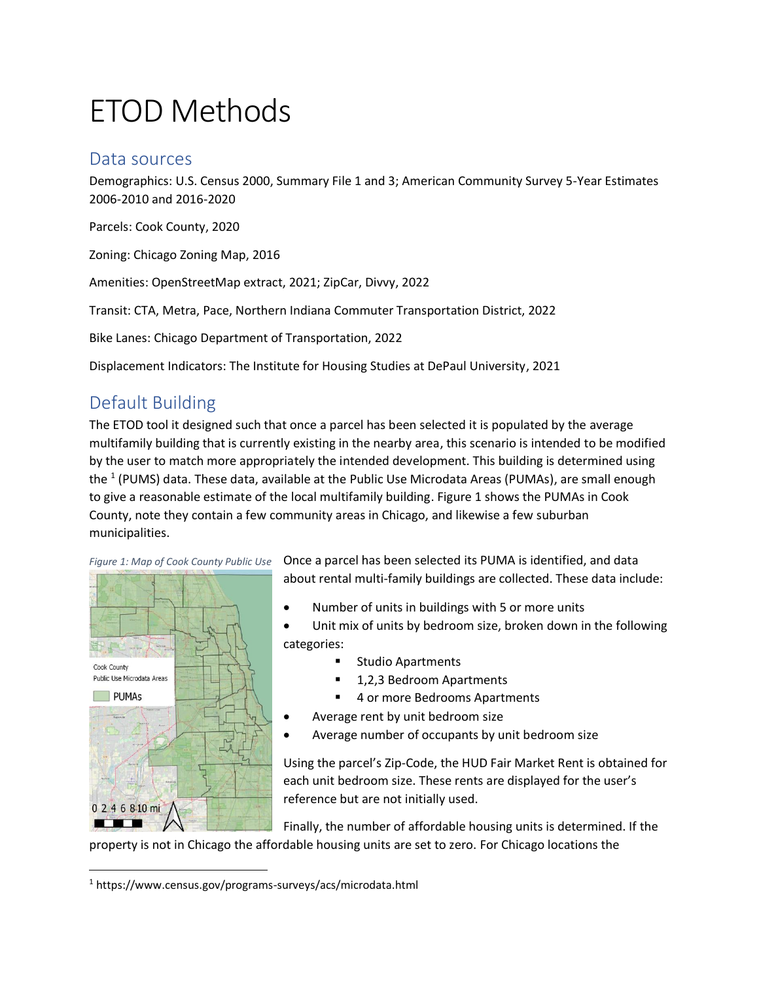# ETOD Methods

## Data sources

Demographics: U.S. Census 2000, Summary File 1 and 3; American Community Survey 5-Year Estimates 2006-2010 and 2016-2020

Parcels: Cook County, 2020

Zoning: Chicago Zoning Map, 2016

Amenities: OpenStreetMap extract, 2021; ZipCar, Divvy, 2022

Transit: CTA, Metra, Pace, Northern Indiana Commuter Transportation District, 2022

Bike Lanes: Chicago Department of Transportation, 2022

Displacement Indicators: The Institute for Housing Studies at DePaul University, 2021

# Default Building

The ETOD tool it designed such that once a parcel has been selected it is populated by the average multifamily building that is currently existing in the nearby area, this scenario is intended to be modified by the user to match more appropriately the intended development. This building is determined using the <sup>1</sup> (PUMS) data. These data, available at the Public Use Microdata Areas (PUMAs), are small enough to give a reasonable estimate of the local multifamily building. Figure 1 shows the PUMAs in Cook County, note they contain a few community areas in Chicago, and likewise a few suburban municipalities.



Once a parcel has been selected its PUMA is identified, and data about rental multi-family buildings are collected. These data include:

- Number of units in buildings with 5 or more units
- Unit mix of units by bedroom size, broken down in the following categories:
	- Studio Apartments
	- 1,2,3 Bedroom Apartments
	- 4 or more Bedrooms Apartments
- Average rent by unit bedroom size
- Average number of occupants by unit bedroom size

Using the parcel's Zip-Code, the HUD Fair Market Rent is obtained for each unit bedroom size. These rents are displayed for the user's reference but are not initially used.

Finally, the number of affordable housing units is determined. If the

property is not in Chicago the affordable housing units are set to zero. For Chicago locations the

<sup>1</sup> https://www.census.gov/programs-surveys/acs/microdata.html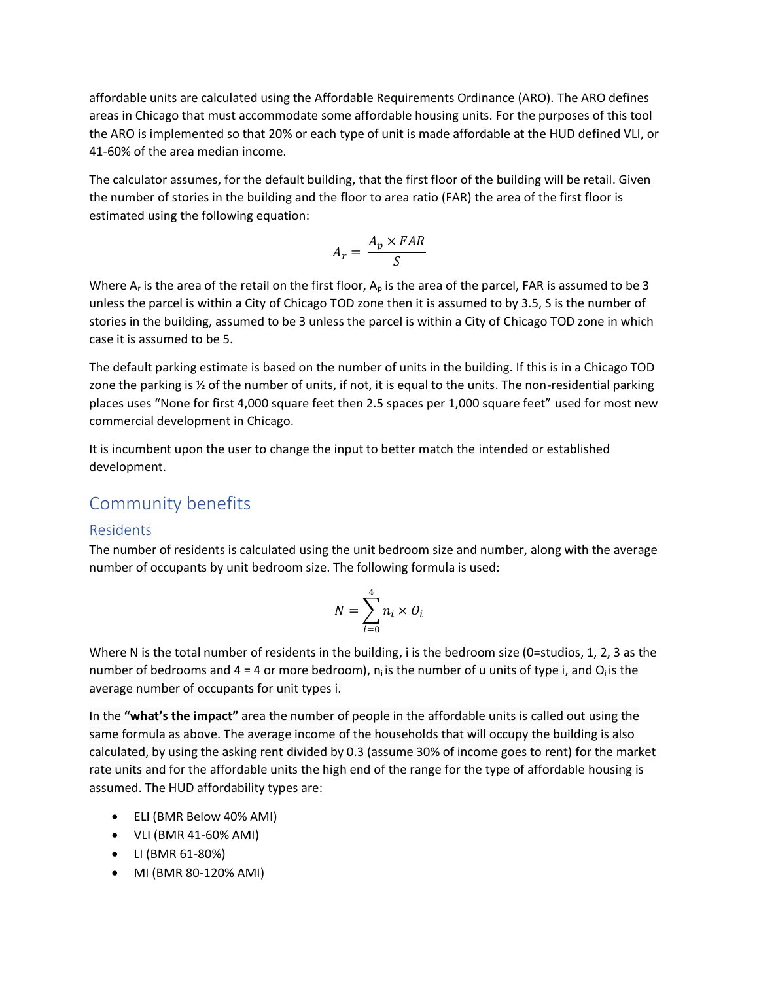affordable units are calculated using the Affordable Requirements Ordinance (ARO). The ARO defines areas in Chicago that must accommodate some affordable housing units. For the purposes of this tool the ARO is implemented so that 20% or each type of unit is made affordable at the HUD defined VLI, or 41-60% of the area median income.

The calculator assumes, for the default building, that the first floor of the building will be retail. Given the number of stories in the building and the floor to area ratio (FAR) the area of the first floor is estimated using the following equation:

$$
A_r = \frac{A_p \times FAR}{S}
$$

Where  $A_r$  is the area of the retail on the first floor,  $A_p$  is the area of the parcel, FAR is assumed to be 3 unless the parcel is within a City of Chicago TOD zone then it is assumed to by 3.5, S is the number of stories in the building, assumed to be 3 unless the parcel is within a City of Chicago TOD zone in which case it is assumed to be 5.

The default parking estimate is based on the number of units in the building. If this is in a Chicago TOD zone the parking is ½ of the number of units, if not, it is equal to the units. The non-residential parking places uses "None for first 4,000 square feet then 2.5 spaces per 1,000 square feet" used for most new commercial development in Chicago.

It is incumbent upon the user to change the input to better match the intended or established development.

### Community benefits

#### Residents

The number of residents is calculated using the unit bedroom size and number, along with the average number of occupants by unit bedroom size. The following formula is used:

$$
N = \sum_{i=0}^{4} n_i \times O_i
$$

Where N is the total number of residents in the building, i is the bedroom size (0=studios, 1, 2, 3 as the number of bedrooms and 4 = 4 or more bedroom),  $n_i$  is the number of u units of type i, and  $Q_i$  is the average number of occupants for unit types i.

In the **"what's the impact"** area the number of people in the affordable units is called out using the same formula as above. The average income of the households that will occupy the building is also calculated, by using the asking rent divided by 0.3 (assume 30% of income goes to rent) for the market rate units and for the affordable units the high end of the range for the type of affordable housing is assumed. The HUD affordability types are:

- ELI (BMR Below 40% AMI)
- VLI (BMR 41-60% AMI)
- LI (BMR 61-80%)
- MI (BMR 80-120% AMI)